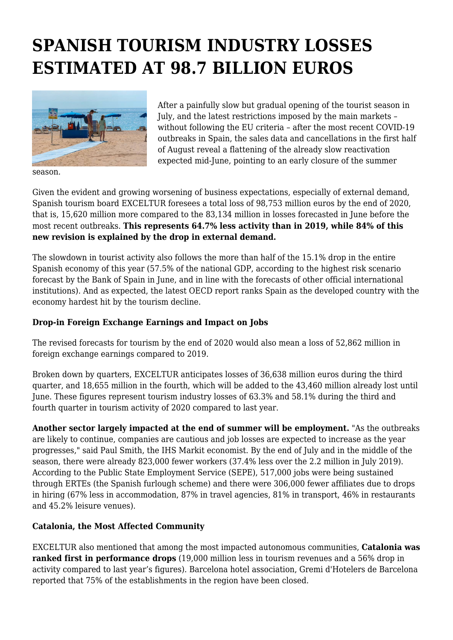## **SPANISH TOURISM INDUSTRY LOSSES ESTIMATED AT 98.7 BILLION EUROS**



After a painfully slow but gradual opening of the tourist season in July, and the latest restrictions imposed by the main markets – without following the EU criteria – after the most recent COVID-19 outbreaks in Spain, the sales data and cancellations in the first half of August reveal a flattening of the already slow reactivation expected mid-June, pointing to an early closure of the summer

season.

Given the evident and growing worsening of business expectations, especially of external demand, Spanish tourism board EXCELTUR foresees a total loss of 98,753 million euros by the end of 2020, that is, 15,620 million more compared to the 83,134 million in losses forecasted in June before the most recent outbreaks. **This represents 64.7% less activity than in 2019, while 84% of this new revision is explained by the drop in external demand.**

The slowdown in tourist activity also follows the more than half of the 15.1% drop in the entire Spanish economy of this year (57.5% of the national GDP, according to the highest risk scenario forecast by the Bank of Spain in June, and in line with the forecasts of other official international institutions). And as expected, the latest OECD report ranks Spain as the developed country with the economy hardest hit by the tourism decline.

## **Drop-in Foreign Exchange Earnings and Impact on Jobs**

The revised forecasts for tourism by the end of 2020 would also mean a loss of 52,862 million in foreign exchange earnings compared to 2019.

Broken down by quarters, EXCELTUR anticipates losses of 36,638 million euros during the third quarter, and 18,655 million in the fourth, which will be added to the 43,460 million already lost until June. These figures represent tourism industry losses of 63.3% and 58.1% during the third and fourth quarter in tourism activity of 2020 compared to last year.

**Another sector largely impacted at the end of summer will be employment.** "As the outbreaks are likely to continue, companies are cautious and job losses are expected to increase as the year progresses," said Paul Smith, the IHS Markit economist. By the end of July and in the middle of the season, there were already 823,000 fewer workers (37.4% less over the 2.2 million in July 2019). According to the Public State Employment Service (SEPE), 517,000 jobs were being sustained through ERTEs (the Spanish furlough scheme) and there were 306,000 fewer affiliates due to drops in hiring (67% less in accommodation, 87% in travel agencies, 81% in transport, 46% in restaurants and 45.2% leisure venues).

## **Catalonia, the Most Affected Community**

EXCELTUR also mentioned that among the most impacted autonomous communities, **Catalonia was ranked first in performance drops** (19,000 million less in tourism revenues and a 56% drop in activity compared to last year's figures). Barcelona hotel association, Gremi d'Hotelers de Barcelona reported that 75% of the establishments in the region have been closed.